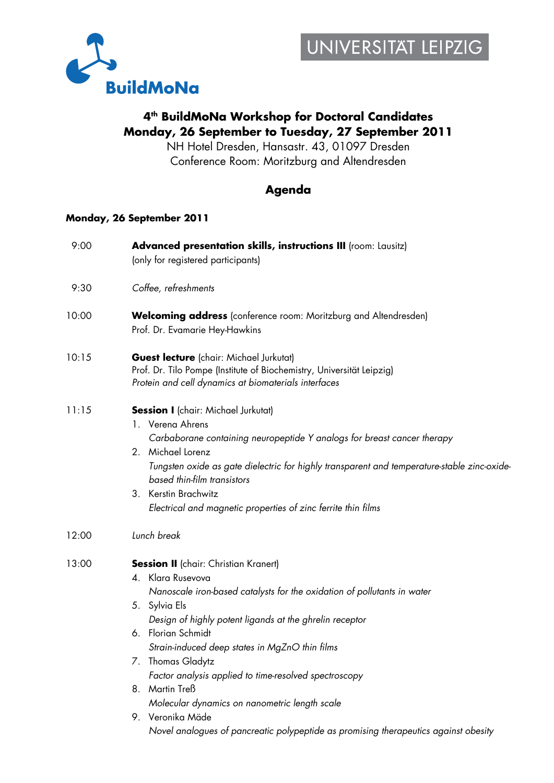

## **4th BuildMoNa Workshop for Doctoral Candidates Monday, 26 September to Tuesday, 27 September 2011**

NH Hotel Dresden, Hansastr. 43, 01097 Dresden Conference Room: Moritzburg and Altendresden

### **Agenda**

#### **Monday, 26 September 2011**

| 9:00  | Advanced presentation skills, instructions III (room: Lausitz)<br>(only for registered participants)                                                                                                                                                                                                                                                                                                                                                                  |
|-------|-----------------------------------------------------------------------------------------------------------------------------------------------------------------------------------------------------------------------------------------------------------------------------------------------------------------------------------------------------------------------------------------------------------------------------------------------------------------------|
| 9:30  | Coffee, refreshments                                                                                                                                                                                                                                                                                                                                                                                                                                                  |
| 10:00 | <b>Welcoming address</b> (conference room: Moritzburg and Altendresden)<br>Prof. Dr. Evamarie Hey-Hawkins                                                                                                                                                                                                                                                                                                                                                             |
| 10:15 | <b>Guest lecture</b> (chair: Michael Jurkutat)<br>Prof. Dr. Tilo Pompe (Institute of Biochemistry, Universität Leipzig)<br>Protein and cell dynamics at biomaterials interfaces                                                                                                                                                                                                                                                                                       |
| 11:15 | <b>Session I</b> (chair: Michael Jurkutat)<br>1. Verena Ahrens<br>Carbaborane containing neuropeptide Y analogs for breast cancer therapy<br>2. Michael Lorenz<br>Tungsten oxide as gate dielectric for highly transparent and temperature-stable zinc-oxide-<br>based thin-film transistors<br>3. Kerstin Brachwitz<br>Electrical and magnetic properties of zinc ferrite thin films                                                                                 |
| 12:00 | Lunch break                                                                                                                                                                                                                                                                                                                                                                                                                                                           |
| 13:00 | <b>Session II</b> (chair: Christian Kranert)<br>4. Klara Rusevova<br>Nanoscale iron-based catalysts for the oxidation of pollutants in water<br>5. Sylvia Els<br>Design of highly potent ligands at the ghrelin receptor<br>6. Florian Schmidt<br>Strain-induced deep states in MgZnO thin films<br>7. Thomas Gladytz<br>Factor analysis applied to time-resolved spectroscopy<br>8. Martin Treß<br>Molecular dynamics on nanometric length scale<br>9. Veronika Mäde |
|       | Novel analogues of pancreatic polypeptide as promising therapeutics against obesity                                                                                                                                                                                                                                                                                                                                                                                   |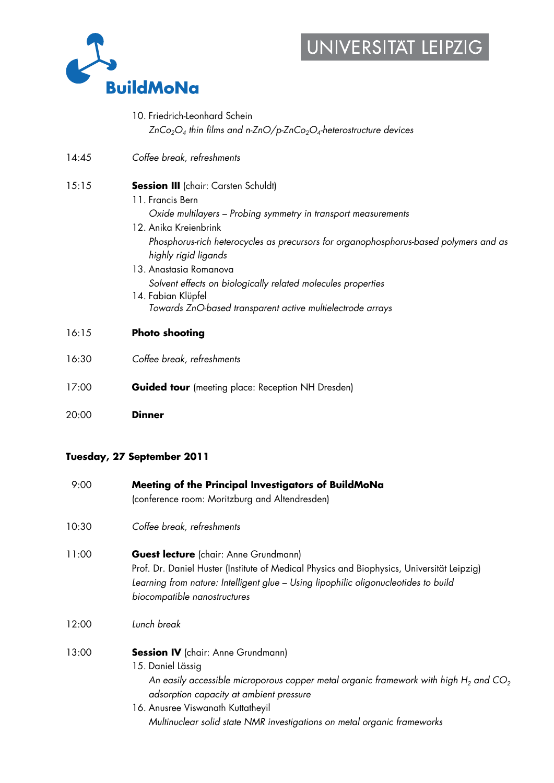# UNIVERSITAT LEIPZIG



- 10. Friedrich-Leonhard Schein *ZnCo2O4 thin films and n-ZnO/p-ZnCo2O4-heterostructure devices*
- 14:45 *Coffee break, refreshments*
- 15:15 **Session III** (chair: Carsten Schuldt)
	- 11. Francis Bern *Oxide multilayers – Probing symmetry in transport measurements*
	- 12. Anika Kreienbrink *Phosphorus-rich heterocycles as precursors for organophosphorus-based polymers and as highly rigid ligands*
	- 13. Anastasia Romanova *Solvent effects on biologically related molecules properties*
	- 14. Fabian Klüpfel *Towards ZnO-based transparent active multielectrode arrays*
- 16:15 **Photo shooting**
- 16:30 *Coffee break, refreshments*
- 17:00 **Guided tour** (meeting place: Reception NH Dresden)
- 20:00 **Dinner**

#### **Tuesday, 27 September 2011**

| 9:00  | Meeting of the Principal Investigators of BuildMoNa<br>(conference room: Moritzburg and Altendresden)                                                                                                                                                                                                                            |
|-------|----------------------------------------------------------------------------------------------------------------------------------------------------------------------------------------------------------------------------------------------------------------------------------------------------------------------------------|
| 10:30 | Coffee break, refreshments                                                                                                                                                                                                                                                                                                       |
| 11:00 | <b>Guest lecture</b> (chair: Anne Grundmann)<br>Prof. Dr. Daniel Huster (Institute of Medical Physics and Biophysics, Universität Leipzig)<br>Learning from nature: Intelligent glue - Using lipophilic oligonucleotides to build<br>biocompatible nanostructures                                                                |
| 12:00 | Lunch break                                                                                                                                                                                                                                                                                                                      |
| 13:00 | <b>Session IV</b> (chair: Anne Grundmann)<br>15. Daniel Lässig<br>An easily accessible microporous copper metal organic framework with high $H_2$ and CO <sub>2</sub><br>adsorption capacity at ambient pressure<br>16. Anusree Viswanath Kuttatheyil<br>Multinuclear solid state NMR investigations on metal organic frameworks |